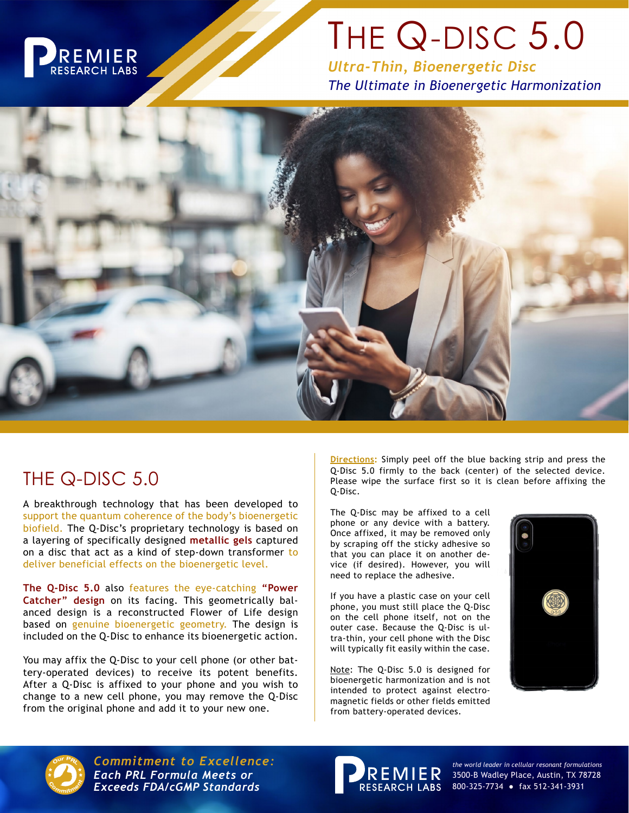

## THE Q-DISC 5.0

*Ultra-Thin, Bioenergetic Disc The Ultimate in Bioenergetic Harmonization*



## THE Q-DISC 5.0

A breakthrough technology that has been developed to support the quantum coherence of the body's bioenergetic biofield. The Q-Disc's proprietary technology is based on a layering of specifically designed **metallic gels** captured on a disc that act as a kind of step-down transformer to deliver beneficial effects on the bioenergetic level.

**The Q-Disc 5.0** also features the eye-catching **"Power Catcher" design** on its facing. This geometrically balanced design is a reconstructed Flower of Life design based on genuine bioenergetic geometry. The design is included on the Q-Disc to enhance its bioenergetic action.

You may affix the Q-Disc to your cell phone (or other battery-operated devices) to receive its potent benefits. After a Q-Disc is affixed to your phone and you wish to change to a new cell phone, you may remove the Q-Disc from the original phone and add it to your new one.

**Directions:** Simply peel off the blue backing strip and press the Q-Disc 5.0 firmly to the back (center) of the selected device. Please wipe the surface first so it is clean before affixing the Q-Disc.

The Q-Disc may be affixed to a cell phone or any device with a battery. Once affixed, it may be removed only by scraping off the sticky adhesive so that you can place it on another device (if desired). However, you will need to replace the adhesive.

If you have a plastic case on your cell phone, you must still place the Q-Disc on the cell phone itself, not on the outer case. Because the Q-Disc is ultra-thin, your cell phone with the Disc will typically fit easily within the case.

Note: The Q-Disc 5.0 is designed for bioenergetic harmonization and is not intended to protect against electromagnetic fields or other fields emitted from battery-operated devices.





*Commitment to Excellence: the world leader in cellular resonant formulations Each PRL Formula Meets or* **Exceeds FDA/cGMP Standards** 



3500-B Wadley Place, Austin, TX 78728 800-325-7734 ● fax 512-341-3931